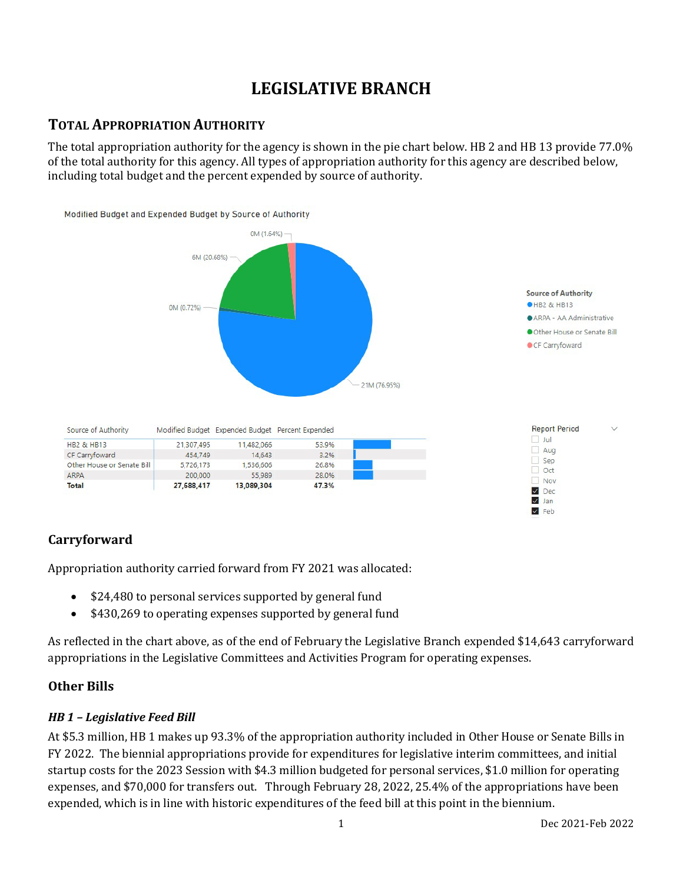## **LEGISLATIVE BRANCH**

## **TOTAL APPROPRIATION AUTHORITY**

The total appropriation authority for the agency is shown in the pie chart below. HB 2 and HB 13 provide 77.0% of the total authority for this agency. All types of appropriation authority for this agency are described below, including total budget and the percent expended by source of authority.



## **Carryforward**

Appropriation authority carried forward from FY 2021 was allocated:

- \$24,480 to personal services supported by general fund
- \$430,269 to operating expenses supported by general fund

As reflected in the chart above, as of the end of February the Legislative Branch expended \$14,643 carryforward appropriations in the Legislative Committees and Activities Program for operating expenses.

#### **Other Bills**

#### *HB 1 – Legislative Feed Bill*

At \$5.3 million, HB 1 makes up 93.3% of the appropriation authority included in Other House or Senate Bills in FY 2022. The biennial appropriations provide for expenditures for legislative interim committees, and initial startup costs for the 2023 Session with \$4.3 million budgeted for personal services, \$1.0 million for operating expenses, and \$70,000 for transfers out. Through February 28, 2022, 25.4% of the appropriations have been expended, which is in line with historic expenditures of the feed bill at this point in the biennium.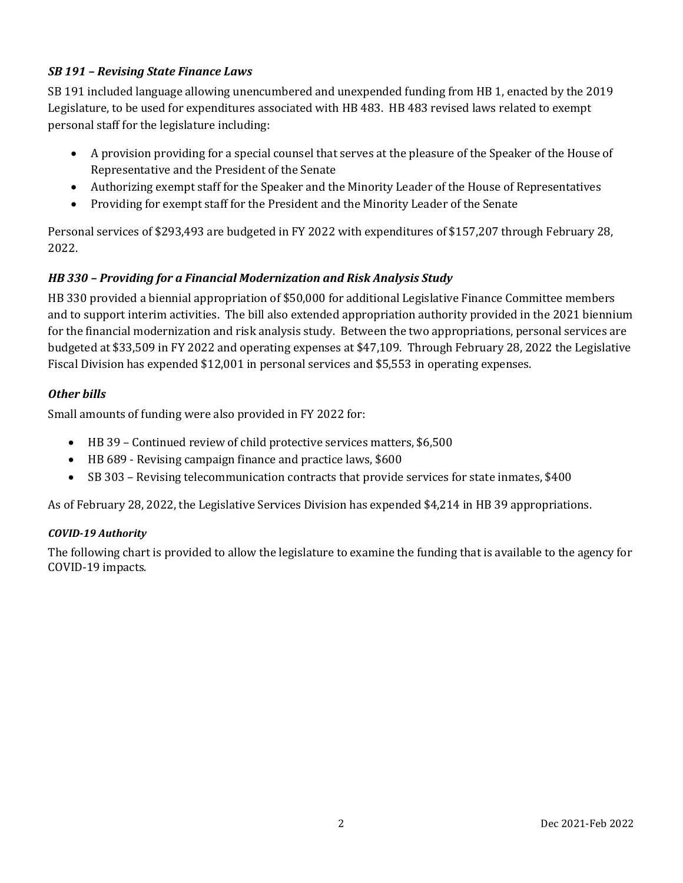#### *SB 191 – Revising State Finance Laws*

SB 191 included language allowing unencumbered and unexpended funding from HB 1, enacted by the 2019 Legislature, to be used for expenditures associated with HB 483. HB 483 revised laws related to exempt personal staff for the legislature including:

- A provision providing for a special counsel that serves at the pleasure of the Speaker of the House of Representative and the President of the Senate
- Authorizing exempt staff for the Speaker and the Minority Leader of the House of Representatives
- Providing for exempt staff for the President and the Minority Leader of the Senate

Personal services of \$293,493 are budgeted in FY 2022 with expenditures of \$157,207 through February 28, 2022.

## *HB 330 – Providing for a Financial Modernization and Risk Analysis Study*

HB 330 provided a biennial appropriation of \$50,000 for additional Legislative Finance Committee members and to support interim activities. The bill also extended appropriation authority provided in the 2021 biennium for the financial modernization and risk analysis study. Between the two appropriations, personal services are budgeted at \$33,509 in FY 2022 and operating expenses at \$47,109. Through February 28, 2022 the Legislative Fiscal Division has expended \$12,001 in personal services and \$5,553 in operating expenses.

#### *Other bills*

Small amounts of funding were also provided in FY 2022 for:

- HB 39 Continued review of child protective services matters, \$6,500
- HB 689 Revising campaign finance and practice laws, \$600
- SB 303 Revising telecommunication contracts that provide services for state inmates, \$400

As of February 28, 2022, the Legislative Services Division has expended \$4,214 in HB 39 appropriations.

#### *COVID-19 Authority*

The following chart is provided to allow the legislature to examine the funding that is available to the agency for COVID-19 impacts.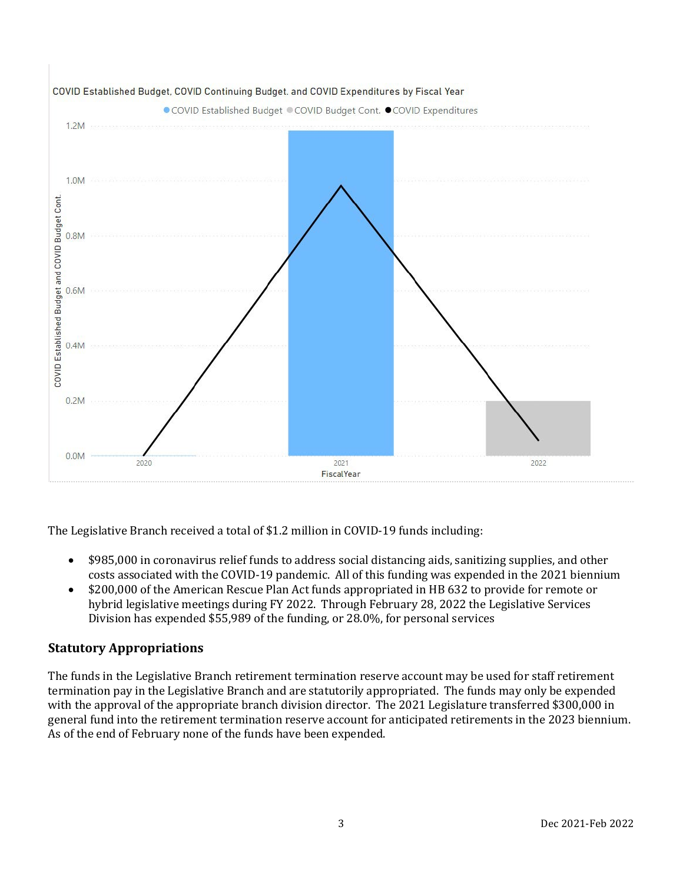

The Legislative Branch received a total of \$1.2 million in COVID-19 funds including:

- \$985,000 in coronavirus relief funds to address social distancing aids, sanitizing supplies, and other costs associated with the COVID-19 pandemic. All of this funding was expended in the 2021 biennium
- \$200,000 of the American Rescue Plan Act funds appropriated in HB 632 to provide for remote or hybrid legislative meetings during FY 2022. Through February 28, 2022 the Legislative Services Division has expended \$55,989 of the funding, or 28.0%, for personal services

## **Statutory Appropriations**

The funds in the Legislative Branch retirement termination reserve account may be used for staff retirement termination pay in the Legislative Branch and are statutorily appropriated. The funds may only be expended with the approval of the appropriate branch division director. The 2021 Legislature transferred \$300,000 in general fund into the retirement termination reserve account for anticipated retirements in the 2023 biennium. As of the end of February none of the funds have been expended.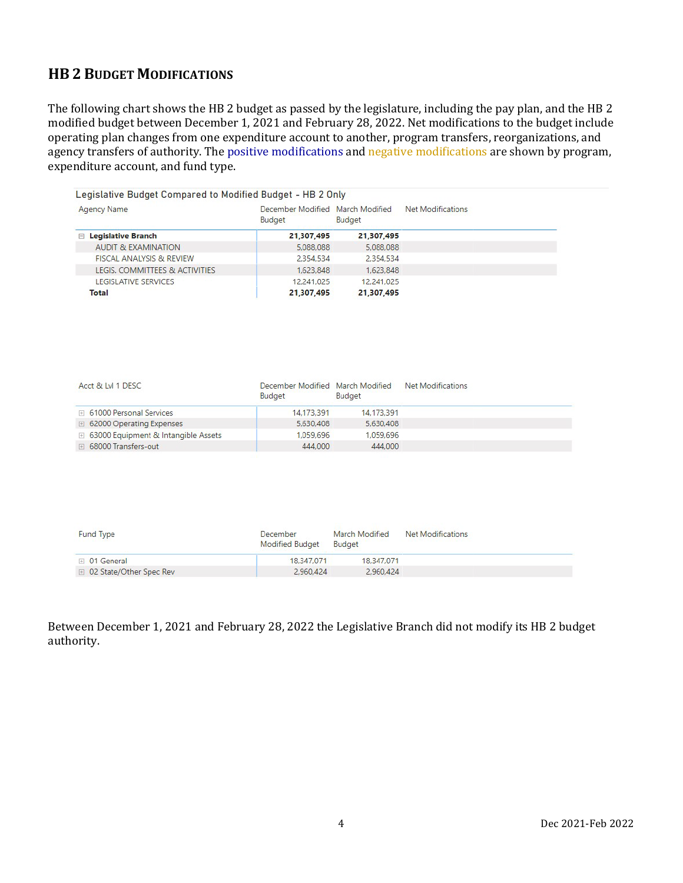## **HB 2 BUDGET MODIFICATIONS**

The following chart shows the HB 2 budget as passed by the legislature, including the pay plan, and the HB 2 modified budget between December 1, 2021 and February 28, 2022. Net modifications to the budget include operating plan changes from one expenditure account to another, program transfers, reorganizations, and agency transfers of authority. The positive modifications and negative modifications are shown by program, expenditure account, and fund type.

| Legislative Budget Compared to Modified Budget - HB 2 Only |                                                   |            |                   |  |
|------------------------------------------------------------|---------------------------------------------------|------------|-------------------|--|
| <b>Agency Name</b>                                         | December Modified March Modified<br><b>Budget</b> | Budget     | Net Modifications |  |
| <b>Legislative Branch</b><br>F.                            | 21,307,495                                        | 21,307,495 |                   |  |
| <b>AUDIT &amp; EXAMINATION</b>                             | 5,088,088                                         | 5,088,088  |                   |  |
| <b>FISCAL ANALYSIS &amp; REVIEW</b>                        | 2.354.534                                         | 2.354.534  |                   |  |
| LEGIS, COMMITTEES & ACTIVITIES                             | 1,623,848                                         | 1,623,848  |                   |  |
| <b>LEGISLATIVE SERVICES</b>                                | 12,241.025                                        | 12.241.025 |                   |  |
| Total                                                      | 21,307,495                                        | 21,307,495 |                   |  |

| Acct & Lvl 1 DESC                            | December Modified March Modified<br><b>Budget</b> | Budget     | <b>Net Modifications</b> |
|----------------------------------------------|---------------------------------------------------|------------|--------------------------|
| □ 61000 Personal Services                    | 14.173.391                                        | 14.173.391 |                          |
| □ 62000 Operating Expenses                   | 5,630,408                                         | 5.630.408  |                          |
| <b>E</b> 63000 Equipment & Intangible Assets | 1.059.696                                         | 1.059.696  |                          |
| ⊞ 68000 Transfers-out                        | 444,000                                           | 444,000    |                          |
|                                              |                                                   |            |                          |

| <b>Fund Type</b>          | December<br><b>Modified Budget</b> | March Modified<br><b>Budget</b> | Net Modifications |  |
|---------------------------|------------------------------------|---------------------------------|-------------------|--|
| D <sub>1</sub> General    | 18,347,071                         | 18,347,071                      |                   |  |
| □ 02 State/Other Spec Rev | 2,960.424                          | 2.960.424                       |                   |  |

Between December 1, 2021 and February 28, 2022 the Legislative Branch did not modify its HB 2 budget authority.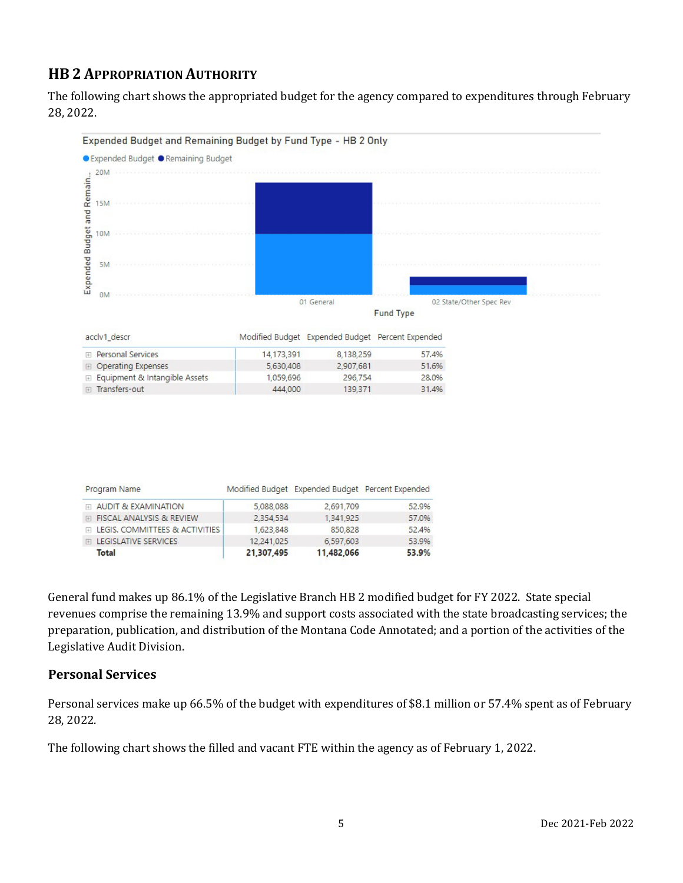## **HB 2 APPROPRIATION AUTHORITY**

The following chart shows the appropriated budget for the agency compared to expenditures through February 28, 2022.



| Total                            | 21,307,495 | 11,482,066 | 53.9% |
|----------------------------------|------------|------------|-------|
| <b>ELEGISLATIVE SERVICES</b>     | 12 241 025 | 6.597.603  | 53.9% |
| FILEGIS, COMMITTEES & ACTIVITIES | 1.623.848  | 850,828    | 52.4% |
| FI FISCAL ANALYSIS & REVIEW      | 2.354.534  | 1.341.925  | 57.0% |

General fund makes up 86.1% of the Legislative Branch HB 2 modified budget for FY 2022. State special revenues comprise the remaining 13.9% and support costs associated with the state broadcasting services; the preparation, publication, and distribution of the Montana Code Annotated; and a portion of the activities of the Legislative Audit Division.

## **Personal Services**

Personal services make up 66.5% of the budget with expenditures of \$8.1 million or 57.4% spent as of February 28, 2022.

The following chart shows the filled and vacant FTE within the agency as of February 1, 2022.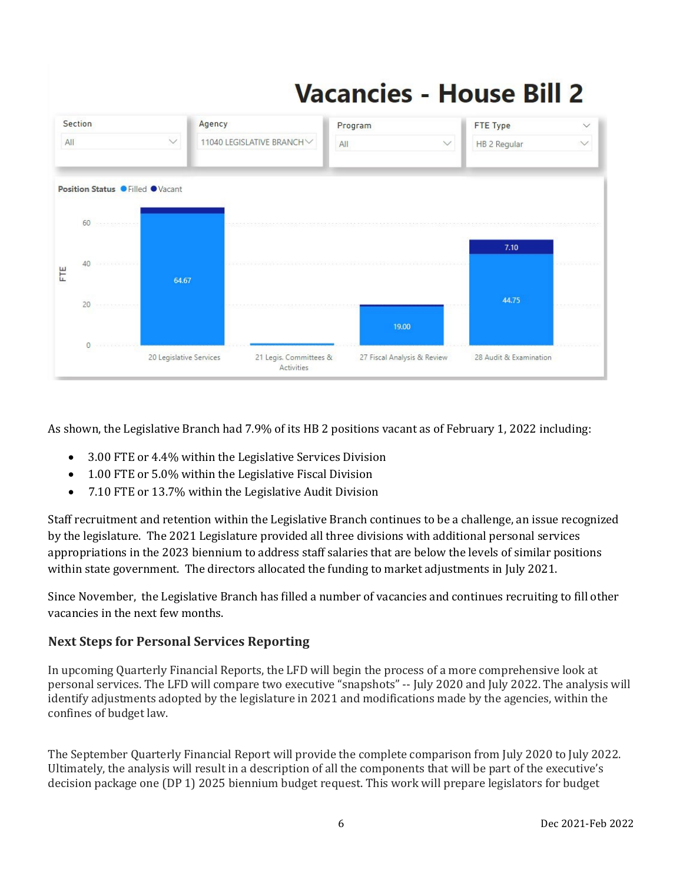# **Vacancies - House Bill 2**



As shown, the Legislative Branch had 7.9% of its HB 2 positions vacant as of February 1, 2022 including:

- 3.00 FTE or 4.4% within the Legislative Services Division
- 1.00 FTE or 5.0% within the Legislative Fiscal Division
- 7.10 FTE or 13.7% within the Legislative Audit Division

Staff recruitment and retention within the Legislative Branch continues to be a challenge, an issue recognized by the legislature. The 2021 Legislature provided all three divisions with additional personal services appropriations in the 2023 biennium to address staff salaries that are below the levels of similar positions within state government. The directors allocated the funding to market adjustments in July 2021.

Since November, the Legislative Branch has filled a number of vacancies and continues recruiting to fill other vacancies in the next few months.

## **Next Steps for Personal Services Reporting**

In upcoming Quarterly Financial Reports, the LFD will begin the process of a more comprehensive look at personal services. The LFD will compare two executive "snapshots" -- July 2020 and July 2022. The analysis will identify adjustments adopted by the legislature in 2021 and modifications made by the agencies, within the confines of budget law.

The September Quarterly Financial Report will provide the complete comparison from July 2020 to July 2022. Ultimately, the analysis will result in a description of all the components that will be part of the executive's decision package one (DP 1) 2025 biennium budget request. This work will prepare legislators for budget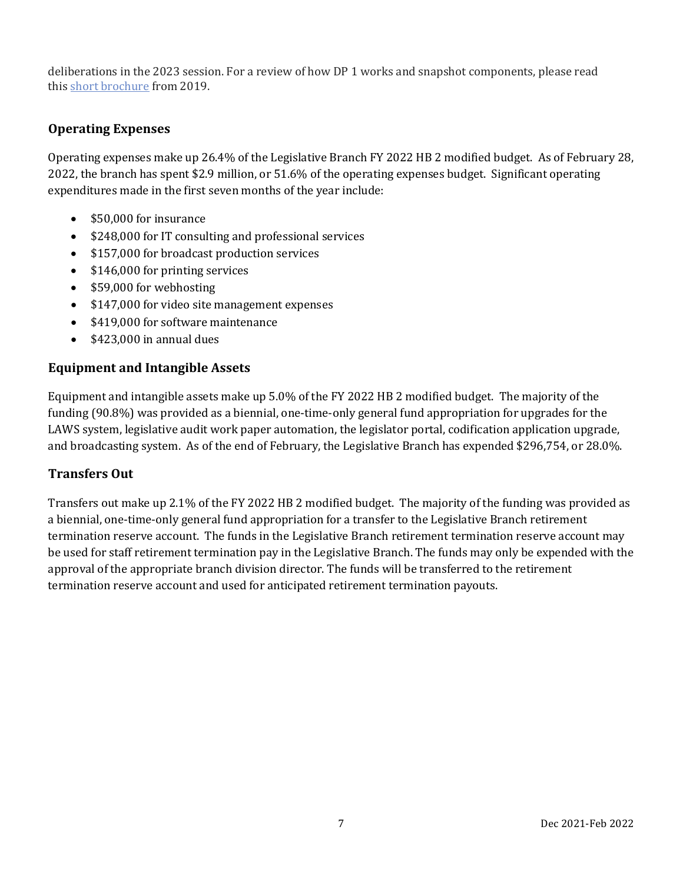deliberations in the 2023 session. For a review of how DP 1 works and snapshot components, please read this [short brochure](https://montana.maps.arcgis.com/apps/Cascade/index.html?appid=23095fcf15754f4fb38b63c58a884b97) from 2019.

## **Operating Expenses**

Operating expenses make up 26.4% of the Legislative Branch FY 2022 HB 2 modified budget. As of February 28, 2022, the branch has spent \$2.9 million, or 51.6% of the operating expenses budget. Significant operating expenditures made in the first seven months of the year include:

- \$50,000 for insurance
- \$248,000 for IT consulting and professional services
- \$157,000 for broadcast production services
- \$146,000 for printing services
- \$59,000 for webhosting
- \$147,000 for video site management expenses
- \$419,000 for software maintenance
- \$423,000 in annual dues

#### **Equipment and Intangible Assets**

Equipment and intangible assets make up 5.0% of the FY 2022 HB 2 modified budget. The majority of the funding (90.8%) was provided as a biennial, one-time-only general fund appropriation for upgrades for the LAWS system, legislative audit work paper automation, the legislator portal, codification application upgrade, and broadcasting system. As of the end of February, the Legislative Branch has expended \$296,754, or 28.0%.

#### **Transfers Out**

Transfers out make up 2.1% of the FY 2022 HB 2 modified budget. The majority of the funding was provided as a biennial, one-time-only general fund appropriation for a transfer to the Legislative Branch retirement termination reserve account. The funds in the Legislative Branch retirement termination reserve account may be used for staff retirement termination pay in the Legislative Branch. The funds may only be expended with the approval of the appropriate branch division director. The funds will be transferred to the retirement termination reserve account and used for anticipated retirement termination payouts.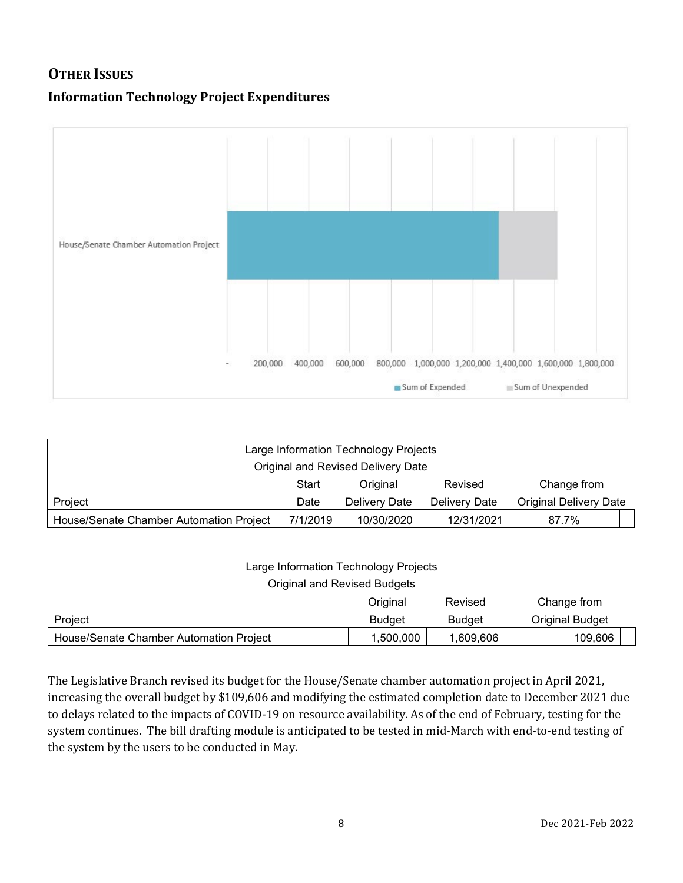## **OTHER ISSUES**

## **Information Technology Project Expenditures**



| Large Information Technology Projects   |          |               |               |                               |
|-----------------------------------------|----------|---------------|---------------|-------------------------------|
| Original and Revised Delivery Date      |          |               |               |                               |
|                                         | Start    | Original      | Revised       | Change from                   |
| Project                                 | Date     | Delivery Date | Delivery Date | <b>Original Delivery Date</b> |
| House/Senate Chamber Automation Project | 7/1/2019 | 10/30/2020    | 12/31/2021    | 87.7%                         |

| Large Information Technology Projects   |               |               |                        |  |
|-----------------------------------------|---------------|---------------|------------------------|--|
| Original and Revised Budgets            |               |               |                        |  |
|                                         | Original      | Revised       | Change from            |  |
| Project                                 | <b>Budget</b> | <b>Budget</b> | <b>Original Budget</b> |  |
| House/Senate Chamber Automation Project | 1,500,000     | 1,609,606     | 109,606                |  |

The Legislative Branch revised its budget for the House/Senate chamber automation project in April 2021, increasing the overall budget by \$109,606 and modifying the estimated completion date to December 2021 due to delays related to the impacts of COVID-19 on resource availability. As of the end of February, testing for the system continues. The bill drafting module is anticipated to be tested in mid-March with end-to-end testing of the system by the users to be conducted in May.